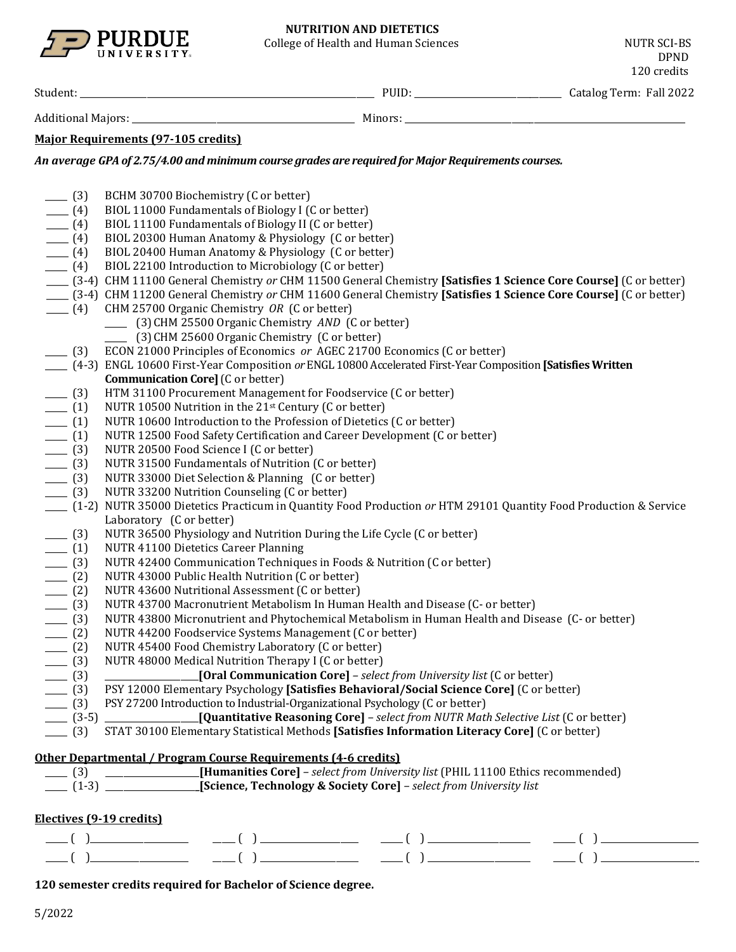

College of Health and Human Sciences NUTR SCI-BS

DPND 120 credits

Student: \_\_\_\_\_\_\_\_\_\_\_\_\_\_\_\_\_\_\_\_\_\_\_\_\_\_\_\_\_\_\_\_\_\_\_\_\_\_\_\_\_\_\_\_\_\_\_\_\_\_\_\_\_\_\_\_\_\_\_\_\_\_\_\_\_\_ PUID: \_\_\_\_\_\_\_\_\_\_\_\_\_\_\_\_\_\_\_\_\_\_\_\_\_\_\_\_\_\_\_\_\_ Catalog Term: Fall 2022

Additional Majors: \_\_\_\_\_\_\_\_\_\_\_\_\_\_\_\_\_\_\_\_\_\_\_\_\_\_\_\_\_\_\_\_\_\_\_\_\_\_\_\_\_\_\_\_\_\_\_\_\_\_ Minors: \_\_\_\_\_\_\_\_\_\_\_\_\_\_\_\_\_\_\_\_\_\_\_\_\_\_\_\_\_\_\_\_\_\_\_\_\_\_\_\_\_\_\_\_\_\_\_\_\_\_\_\_\_\_\_\_\_\_\_\_\_\_\_

## **Major Requirements (97-105 credits)**

*An average GPA of 2.75/4.00 and minimum course grades are required for Major Requirements courses.*

| $- (3)$                          | BCHM 30700 Biochemistry (C or better)                                                                            |
|----------------------------------|------------------------------------------------------------------------------------------------------------------|
| $-$ (4)                          | BIOL 11000 Fundamentals of Biology I (C or better)                                                               |
| $- (4)$                          | BIOL 11100 Fundamentals of Biology II (C or better)                                                              |
| $- (4)$                          | BIOL 20300 Human Anatomy & Physiology (C or better)                                                              |
| $- (4)$                          | BIOL 20400 Human Anatomy & Physiology (C or better)                                                              |
| $- (4)$                          | BIOL 22100 Introduction to Microbiology (C or better)                                                            |
|                                  | [3-4] CHM 11100 General Chemistry or CHM 11500 General Chemistry [Satisfies 1 Science Core Course] (C or better) |
|                                  | [3-4] CHM 11200 General Chemistry or CHM 11600 General Chemistry [Satisfies 1 Science Core Course] (C or better) |
| $- (4)$                          | CHM 25700 Organic Chemistry OR (C or better)                                                                     |
|                                  | [3] CHM 25500 Organic Chemistry AND (C or better)                                                                |
|                                  | (3) CHM 25600 Organic Chemistry (C or better)                                                                    |
| $- (3)$                          | ECON 21000 Principles of Economics or AGEC 21700 Economics (C or better)                                         |
|                                  | (4-3) ENGL 10600 First-Year Composition or ENGL 10800 Accelerated First-Year Composition [Satisfies Written      |
|                                  | <b>Communication Core]</b> (C or better)                                                                         |
| $- (3)$                          | HTM 31100 Procurement Management for Foodservice (C or better)                                                   |
| $\frac{1}{\sqrt{1-\frac{1}{2}}}$ | NUTR 10500 Nutrition in the 21st Century (C or better)                                                           |
| $\frac{1}{\sqrt{1-\frac{1}{2}}}$ | NUTR 10600 Introduction to the Profession of Dietetics (C or better)                                             |
| $\frac{1}{2}$ (1)                | NUTR 12500 Food Safety Certification and Career Development (C or better)                                        |
| $- (3)$                          | NUTR 20500 Food Science I (C or better)                                                                          |
| $- (3)$                          | NUTR 31500 Fundamentals of Nutrition (C or better)                                                               |
| $- (3)$                          | NUTR 33000 Diet Selection & Planning (C or better)                                                               |
| $- (3)$                          | NUTR 33200 Nutrition Counseling (C or better)                                                                    |
|                                  | [1-2] NUTR 35000 Dietetics Practicum in Quantity Food Production or HTM 29101 Quantity Food Production & Service |
|                                  | Laboratory (C or better)                                                                                         |
| $- (3)$                          | NUTR 36500 Physiology and Nutrition During the Life Cycle (C or better)                                          |
| $\frac{1}{\sqrt{1-\frac{1}{2}}}$ | NUTR 41100 Dietetics Career Planning                                                                             |
| $- (3)$                          | NUTR 42400 Communication Techniques in Foods & Nutrition (C or better)                                           |
| (2)                              | NUTR 43000 Public Health Nutrition (C or better)                                                                 |
| $- (2)$                          | NUTR 43600 Nutritional Assessment (C or better)                                                                  |
| $- (3)$                          | NUTR 43700 Macronutrient Metabolism In Human Health and Disease (C- or better)                                   |
| $- (3)$                          | NUTR 43800 Micronutrient and Phytochemical Metabolism in Human Health and Disease (C- or better)                 |
| $- (2)$                          | NUTR 44200 Foodservice Systems Management (C or better)                                                          |
| $- (2)$                          | NUTR 45400 Food Chemistry Laboratory (C or better)                                                               |
| $- (3)$                          | NUTR 48000 Medical Nutrition Therapy I (C or better)                                                             |
| $- (3)$                          | [Oral Communication Core] - select from University list (C or better)                                            |
| $- (3)$                          | PSY 12000 Elementary Psychology [Satisfies Behavioral/Social Science Core] (C or better)                         |
| $- (3)$                          | PSY 27200 Introduction to Industrial-Organizational Psychology (C or better)                                     |
| $- (3-5)$                        | [Quantitative Reasoning Core] - select from NUTR Math Selective List (C or better)                               |
| $- (3)$                          | STAT 30100 Elementary Statistical Methods [Satisfies Information Literacy Core] (C or better)                    |
|                                  |                                                                                                                  |

### **Other Departmental / Program Course Requirements (4-6 credits)**

| (3)                 | [Humanities Core] - select from University list (PHIL 11100 Ethics recommended) |
|---------------------|---------------------------------------------------------------------------------|
| $\frac{1}{2}$ (1-3) | <b>Science, Technology &amp; Society Core]</b> - select from University list    |

### **Electives (9-19 credits)**

| ______ | ____________________________ | ______<br>____________________________<br>_______ | ______                          | ______<br>_______ |
|--------|------------------------------|---------------------------------------------------|---------------------------------|-------------------|
| _____  | _________________            | ______<br>___________________________             | ______<br>_____________________ | ______            |

**120 semester credits required for Bachelor of Science degree.**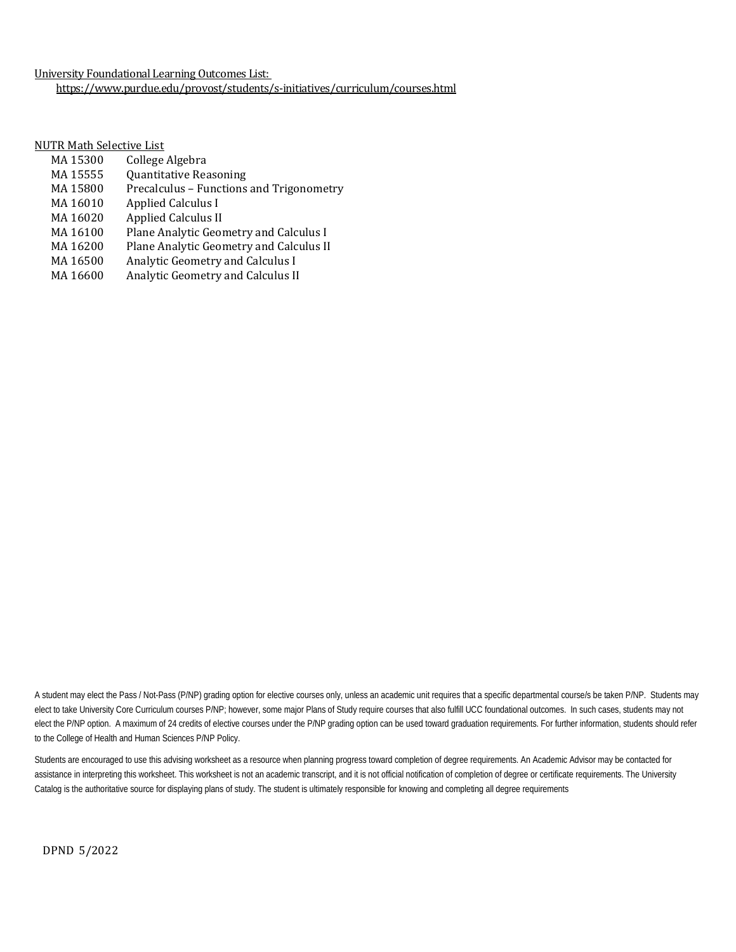University Foundational Learning Outcomes List: <https://www.purdue.edu/provost/students/s-initiatives/curriculum/courses.html>

NUTR Math Selective List<br>MA 15300 College

- MA 15300 College Algebra<br>MA 15555 Ouantitative Rea
- MA 15555 Quantitative Reasoning<br>MA 15800 Precalculus Functions
- MA 15800 Precalculus Functions and Trigonometry<br>MA 16010 Applied Calculus I
- MA 16010 Applied Calculus I<br>MA 16020 Applied Calculus II
- MA 16020 Applied Calculus II<br>MA 16100 Plane Analytic Georg
- MA 16100 Plane Analytic Geometry and Calculus I<br>MA 16200 Plane Analytic Geometry and Calculus II
- MA 16200 Plane Analytic Geometry and Calculus II<br>MA 16500 Analytic Geometry and Calculus I
- MA 16500 Analytic Geometry and Calculus I<br>MA 16600 Analytic Geometry and Calculus II
- Analytic Geometry and Calculus II

A student may elect the Pass / Not-Pass (P/NP) grading option for elective courses only, unless an academic unit requires that a specific departmental course/s be taken P/NP. Students may elect to take University Core Curriculum courses P/NP; however, some major Plans of Study require courses that also fulfill UCC foundational outcomes. In such cases, students may not elect the P/NP option. A maximum of 24 credits of elective courses under the P/NP grading option can be used toward graduation requirements. For further information, students should refer to the College of Health and Human Sciences P/NP Policy.

Students are encouraged to use this advising worksheet as a resource when planning progress toward completion of degree requirements. An Academic Advisor may be contacted for assistance in interpreting this worksheet. This worksheet is not an academic transcript, and it is not official notification of completion of degree or certificate requirements. The University Catalog is the authoritative source for displaying plans of study. The student is ultimately responsible for knowing and completing all degree requirements

DPND 5/2022